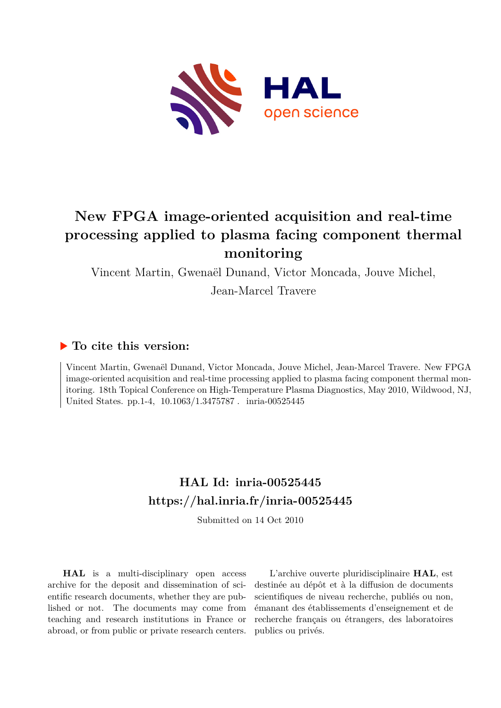

# **New FPGA image-oriented acquisition and real-time processing applied to plasma facing component thermal monitoring**

Vincent Martin, Gwenaël Dunand, Victor Moncada, Jouve Michel,

Jean-Marcel Travere

# **To cite this version:**

Vincent Martin, Gwenaël Dunand, Victor Moncada, Jouve Michel, Jean-Marcel Travere. New FPGA image-oriented acquisition and real-time processing applied to plasma facing component thermal monitoring. 18th Topical Conference on High-Temperature Plasma Diagnostics, May 2010, Wildwood, NJ, United States. pp. 1-4,  $10.1063/1.3475787$ . inria-00525445

# **HAL Id: inria-00525445 <https://hal.inria.fr/inria-00525445>**

Submitted on 14 Oct 2010

**HAL** is a multi-disciplinary open access archive for the deposit and dissemination of scientific research documents, whether they are published or not. The documents may come from teaching and research institutions in France or abroad, or from public or private research centers.

L'archive ouverte pluridisciplinaire **HAL**, est destinée au dépôt et à la diffusion de documents scientifiques de niveau recherche, publiés ou non, émanant des établissements d'enseignement et de recherche français ou étrangers, des laboratoires publics ou privés.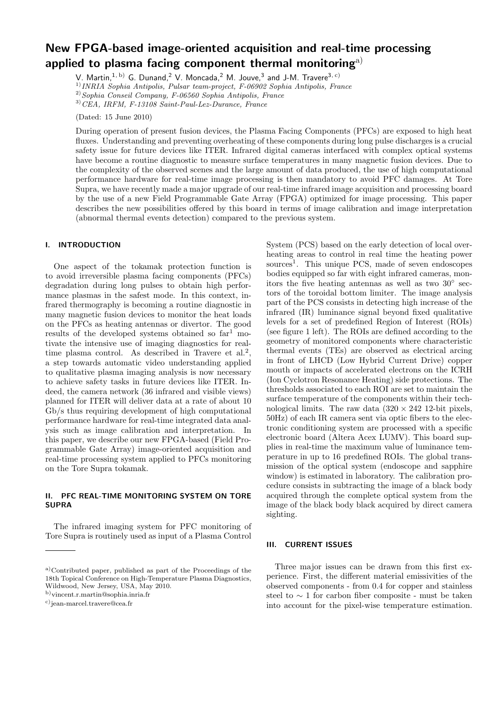# New FPGA-based image-oriented acquisition and real-time processing applied to plasma facing component thermal monitoring<sup>a)</sup>

V. Martin,  $^{1,\,\mathrm{b)}}$  G. Dunand,  $^2$  V. Moncada,  $^2$  M. Jouve,  $^3$  and J-M. Travere $^{3,\,\mathrm{c)}}$ 

<sup>1)</sup> INRIA Sophia Antipolis, Pulsar team-project, F-06902 Sophia Antipolis, France

 $^{2)}$ Sophia Conseil Company, F-06560 Sophia Antipolis, France

3)CEA, IRFM, F-13108 Saint-Paul-Lez-Durance, France

(Dated: 15 June 2010)

During operation of present fusion devices, the Plasma Facing Components (PFCs) are exposed to high heat fluxes. Understanding and preventing overheating of these components during long pulse discharges is a crucial safety issue for future devices like ITER. Infrared digital cameras interfaced with complex optical systems have become a routine diagnostic to measure surface temperatures in many magnetic fusion devices. Due to the complexity of the observed scenes and the large amount of data produced, the use of high computational performance hardware for real-time image processing is then mandatory to avoid PFC damages. At Tore Supra, we have recently made a major upgrade of our real-time infrared image acquisition and processing board by the use of a new Field Programmable Gate Array (FPGA) optimized for image processing. This paper describes the new possibilities offered by this board in terms of image calibration and image interpretation (abnormal thermal events detection) compared to the previous system.

# I. INTRODUCTION

One aspect of the tokamak protection function is to avoid irreversible plasma facing components (PFCs) degradation during long pulses to obtain high performance plasmas in the safest mode. In this context, infrared thermography is becoming a routine diagnostic in many magnetic fusion devices to monitor the heat loads on the PFCs as heating antennas or divertor. The good results of the developed systems obtained so  $far<sup>1</sup>$  motivate the intensive use of imaging diagnostics for realtime plasma control. As described in Travere et  $al.$ <sup>2</sup>, a step towards automatic video understanding applied to qualitative plasma imaging analysis is now necessary to achieve safety tasks in future devices like ITER. Indeed, the camera network (36 infrared and visible views) planned for ITER will deliver data at a rate of about 10 Gb/s thus requiring development of high computational performance hardware for real-time integrated data analysis such as image calibration and interpretation. In this paper, we describe our new FPGA-based (Field Programmable Gate Array) image-oriented acquisition and real-time processing system applied to PFCs monitoring on the Tore Supra tokamak.

# II. PFC REAL-TIME MONITORING SYSTEM ON TORE **SUPRA**

The infrared imaging system for PFC monitoring of Tore Supra is routinely used as input of a Plasma Control

System (PCS) based on the early detection of local overheating areas to control in real time the heating power sources<sup>1</sup>. This unique PCS, made of seven endoscopes bodies equipped so far with eight infrared cameras, monitors the five heating antennas as well as two  $30^{\circ}$  sectors of the toroidal bottom limiter. The image analysis part of the PCS consists in detecting high increase of the infrared (IR) luminance signal beyond fixed qualitative levels for a set of predefined Region of Interest (ROIs) (see figure 1 left). The ROIs are defined according to the geometry of monitored components where characteristic thermal events (TEs) are observed as electrical arcing in front of LHCD (Low Hybrid Current Drive) copper mouth or impacts of accelerated electrons on the ICRH (Ion Cyclotron Resonance Heating) side protections. The thresholds associated to each ROI are set to maintain the surface temperature of the components within their technological limits. The raw data  $(320 \times 242)$  12-bit pixels, 50Hz) of each IR camera sent via optic fibers to the electronic conditioning system are processed with a specific electronic board (Altera Acex LUMV). This board supplies in real-time the maximum value of luminance temperature in up to 16 predefined ROIs. The global transmission of the optical system (endoscope and sapphire window) is estimated in laboratory. The calibration procedure consists in subtracting the image of a black body acquired through the complete optical system from the image of the black body black acquired by direct camera sighting.

#### III. CURRENT ISSUES

Three major issues can be drawn from this first experience. First, the different material emissivities of the observed components - from 0.4 for copper and stainless steel to  $\sim$  1 for carbon fiber composite - must be taken into account for the pixel-wise temperature estimation.

a)Contributed paper, published as part of the Proceedings of the 18th Topical Conference on High-Temperature Plasma Diagnostics, Wildwood, New Jersey, USA, May 2010.

b)vincent.r.martin@sophia.inria.fr

c)jean-marcel.travere@cea.fr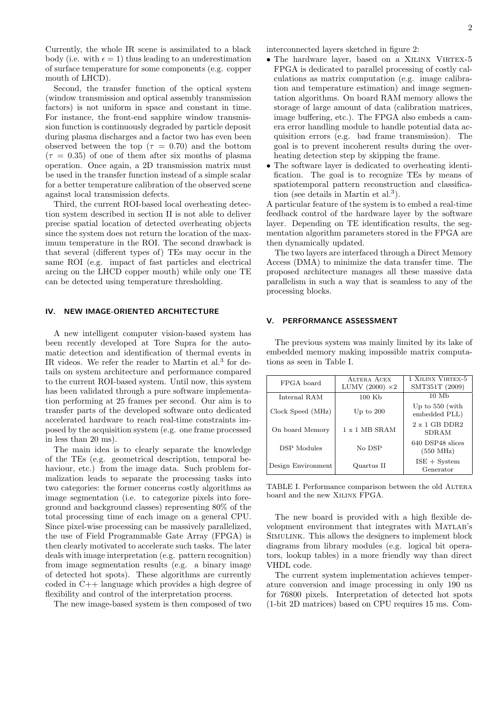Currently, the whole IR scene is assimilated to a black body (i.e. with  $\epsilon = 1$ ) thus leading to an underestimation of surface temperature for some components (e.g. copper mouth of LHCD).

Second, the transfer function of the optical system (window transmission and optical assembly transmission factors) is not uniform in space and constant in time. For instance, the front-end sapphire window transmission function is continuously degraded by particle deposit during plasma discharges and a factor two has even been observed between the top ( $\tau = 0.70$ ) and the bottom  $(\tau = 0.35)$  of one of them after six months of plasma operation. Once again, a 2D transmission matrix must be used in the transfer function instead of a simple scalar for a better temperature calibration of the observed scene against local transmission defects.

Third, the current ROI-based local overheating detection system described in section II is not able to deliver precise spatial location of detected overheating objects since the system does not return the location of the maximum temperature in the ROI. The second drawback is that several (different types of) TEs may occur in the same ROI (e.g. impact of fast particles and electrical arcing on the LHCD copper mouth) while only one TE can be detected using temperature thresholding.

## IV. NEW IMAGE-ORIENTED ARCHITECTURE

A new intelligent computer vision-based system has been recently developed at Tore Supra for the automatic detection and identification of thermal events in IR videos. We refer the reader to Martin et al.<sup>3</sup> for details on system architecture and performance compared to the current ROI-based system. Until now, this system has been validated through a pure software implementation performing at 25 frames per second. Our aim is to transfer parts of the developed software onto dedicated accelerated hardware to reach real-time constraints imposed by the acquisition system (e.g. one frame processed in less than 20 ms).

The main idea is to clearly separate the knowledge of the TEs (e.g. geometrical description, temporal behaviour, etc.) from the image data. Such problem formalization leads to separate the processing tasks into two categories: the former concerns costly algorithms as image segmentation (i.e. to categorize pixels into foreground and background classes) representing 80% of the total processing time of each image on a general CPU. Since pixel-wise processing can be massively parallelized, the use of Field Programmable Gate Array (FPGA) is then clearly motivated to accelerate such tasks. The later deals with image interpretation (e.g. pattern recognition) from image segmentation results (e.g. a binary image of detected hot spots). These algorithms are currently coded in C++ language which provides a high degree of flexibility and control of the interpretation process.

The new image-based system is then composed of two

interconnected layers sketched in figure 2:

- The hardware layer, based on a XILINX VIRTEX-5 FPGA is dedicated to parallel processing of costly calculations as matrix computation (e.g. image calibration and temperature estimation) and image segmentation algorithms. On board RAM memory allows the storage of large amount of data (calibration matrices, image buffering, etc.). The FPGA also embeds a camera error handling module to handle potential data acquisition errors (e.g. bad frame transmission). The goal is to prevent incoherent results during the overheating detection step by skipping the frame.
- The software layer is dedicated to overheating identification. The goal is to recognize TEs by means of spatiotemporal pattern reconstruction and classification (see details in Martin et  $al.^3$ ).

A particular feature of the system is to embed a real-time feedback control of the hardware layer by the software layer. Depending on TE identification results, the segmentation algorithm parameters stored in the FPGA are then dynamically updated.

The two layers are interfaced through a Direct Memory Access (DMA) to minimize the data transfer time. The proposed architecture manages all these massive data parallelism in such a way that is seamless to any of the processing blocks.

## V. PERFORMANCE ASSESSMENT

The previous system was mainly limited by its lake of embedded memory making impossible matrix computations as seen in Table I.

| FPGA board         | ALTERA ACEX<br>LUMV $(2000) \times 2$ | 1 XILINX VIRTEX-5<br>SMT351T (2009)     |
|--------------------|---------------------------------------|-----------------------------------------|
| Internal RAM       | $100 \text{ Kb}$                      | $10 \text{ Mb}$                         |
| Clock Speed (MHz)  | Up to $200$                           | Up to $550$ (with<br>embedded PLL)      |
| On board Memory    | $1 \times 1$ MB SRAM                  | $2 \times 1$ GB DDR2<br><b>SDRAM</b>    |
| DSP Modules        | No DSP                                | 640 DSP48 slices<br>$(550 \text{ MHz})$ |
| Design Environment | Quartus II                            | $ISE + System$<br>Generator             |

TABLE I. Performance comparison between the old ALTERA board and the new Xilinx FPGA.

The new board is provided with a high flexible development environment that integrates with MATLAB's SIMULINK. This allows the designers to implement block diagrams from library modules (e.g. logical bit operators, lookup tables) in a more friendly way than direct VHDL code.

The current system implementation achieves temperature conversion and image processing in only 190 ns for 76800 pixels. Interpretation of detected hot spots (1-bit 2D matrices) based on CPU requires 15 ms. Com-